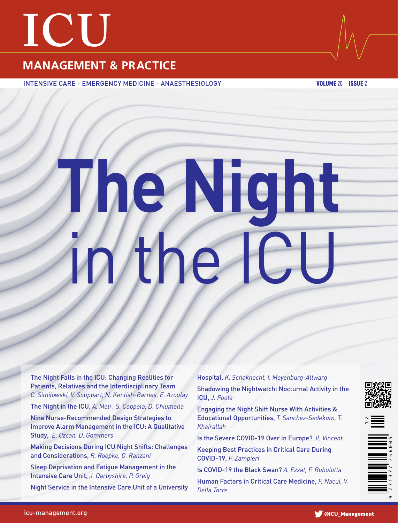# **ICU**

# **MANAGEMENT & PRACTICE**

INTENSIVE CARE - EMERGENCY MEDICINE - ANAESTHESIOLOGY VOLUME 20 - ISSUE 2

# **The Night** in the ICU

The Night Falls in the ICU: Changing Realities for Patients, Relatives and the Interdisciplinary Team *C. Similowski, V. Souppart, N. Kentish-Barnes, E. Azoulay*

The Night in the ICU, *A. Meli , S. Coppola, D. Chiumello*

Nine Nurse-Recommended Design Strategies to Improve Alarm Management in the ICU: A Qualitative Study, *E. Özcan, D. Gommers*

Making Decisions During ICU Night Shifts: Challenges and Considerations, *R. Roepke, O. Ranzani*

Sleep Deprivation and Fatigue Management in the Intensive Care Unit, *J. Darbyshire, P. Greig*

Night Service in the Intensive Care Unit of a University

Hospital, *K. Schoknecht, I. Meyenburg-Altwarg* Shadowing the Nightwatch: Nocturnal Activity in the ICU, *J. Poole*

Engaging the Night Shift Nurse With Activities & Educational Opportunities, *T. Sanchez-Sedekum, T. Khairallah*

Is the Severe COVID-19 Over in Europe? *JL Vincent*

Keeping Best Practices in Critical Care During COVID-19, *F. Zampieri*

Is COVID-19 the Black Swan? *A. Ezzat, F. Rubulotta*

Human Factors in Critical Care Medicine, *F. Nacul, V. Della Torre*





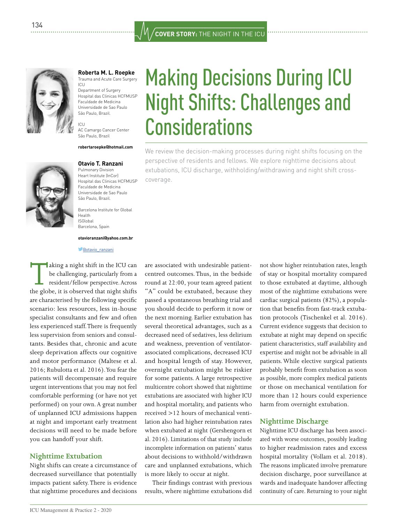

**Roberta M. L. Roepke**  Trauma and Acute Care Surgery ICU

Department of Surgery Hospital das Clinicas HCFMUSP Faculdade de Medicina Universidade de Sao Paulo São Paulo, Brazil.

ICU AC Camargo Cancer Center São Paulo, Brazil

### **robertaroepke@hotmail.com**



**Otavio T. Ranzani** 

Pulmonary Division Heart Institute (InCor) Hospital das Clinicas HCFMUSP Faculdade de Medicina Universidade de Sao Paulo São Paulo, Brazil.

Barcelona Institute for Global Health ISGlobal Barcelona, Spain

### **otavioranzani@yahoo.com.br**

**C** dotavio ranzani

**Taking a night shift in the ICU can** be challenging, particularly from a resident/fellow perspective. Across the globe, it is observed that night shifts are characterised by the following specific scenario: less resources, less in-house specialist consultants and few and often less experienced staff. There is frequently less supervision from seniors and consultants. Besides that, chronic and acute sleep deprivation affects our cognitive and motor performance (Maltese et al. 2016; Rubulotta et al. 2016). You fear the patients will decompensate and require urgent interventions that you may not feel comfortable performing (or have not yet performed) on your own. A great number of unplanned ICU admissions happen at night and important early treatment decisions will need to be made before you can handoff your shift.

### **Nighttime Extubation**

Night shifts can create a circumstance of decreased surveillance that potentially impacts patient safety. There is evidence that nighttime procedures and decisions are associated with undesirable patientcentred outcomes. Thus, in the bedside round at 22:00, your team agreed patient "A" could be extubated, because they passed a spontaneous breathing trial and you should decide to perform it now or the next morning. Earlier extubation has several theoretical advantages, such as a decreased need of sedatives, less delirium and weakness, prevention of ventilatorassociated complications, decreased ICU and hospital length of stay. However, overnight extubation might be riskier for some patients. A large retrospective multicentre cohort showed that nighttime extubations are associated with higher ICU and hospital mortality, and patients who received >12 hours of mechanical ventilation also had higher reintubation rates when extubated at night (Gershengorn et al. 2016). Limitations of that study include incomplete information on patients' status about decisions to withhold/withdrawn care and unplanned extubations, which is more likely to occur at night.

Their findings contrast with previous results, where nighttime extubations did

Making Decisions During ICU Night Shifts: Challenges and **Considerations** 

We review the decision-making processes during night shifts focusing on the perspective of residents and fellows. We explore nighttime decisions about extubations, ICU discharge, withholding/withdrawing and night shift crosscoverage.

> not show higher reintubation rates, length of stay or hospital mortality compared to those extubated at daytime, although most of the nighttime extubations were cardiac surgical patients (82%), a population that benefits from fast-track extubation protocols (Tischenkel et al. 2016). Current evidence suggests that decision to extubate at night may depend on specific patient characteristics, staff availability and expertise and might not be advisable in all patients. While elective surgical patients probably benefit from extubation as soon as possible, more complex medical patients or those on mechanical ventilation for more than 12 hours could experience harm from overnight extubation.

### **Nighttime Discharge**

Nighttime ICU discharge has been associated with worse outcomes, possibly leading to higher readmission rates and excess hospital mortality (Vollam et al. 2018). The reasons implicated involve premature decision discharge, poor surveillance at wards and inadequate handover affecting continuity of care. Returning to your night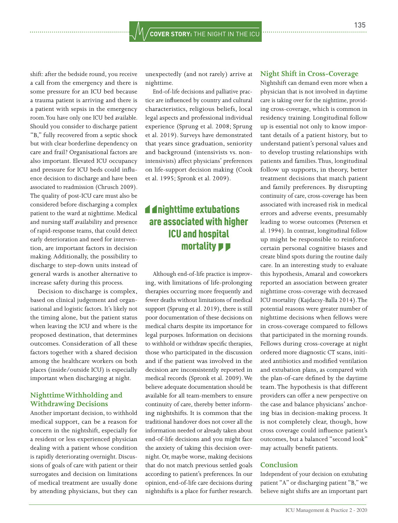shift: after the bedside round, you receive a call from the emergency and there is some pressure for an ICU bed because a trauma patient is arriving and there is a patient with sepsis in the emergency room. You have only one ICU bed available. Should you consider to discharge patient "B," fully recovered from a septic shock but with clear borderline dependency on care and frail? Organisational factors are also important. Elevated ICU occupancy and pressure for ICU beds could influence decision to discharge and have been associated to readmission (Chrusch 2009). The quality of post-ICU care must also be considered before discharging a complex patient to the ward at nighttime. Medical and nursing staff availability and presence of rapid-response teams, that could detect early deterioration and need for intervention, are important factors in decision making. Additionally, the possibility to discharge to step-down units instead of general wards is another alternative to increase safety during this process.

Decision to discharge is complex, based on clinical judgement and organisational and logistic factors. It's likely not the timing alone, but the patient status when leaving the ICU and where is the proposed destination, that determines outcomes. Consideration of all these factors together with a shared decision among the healthcare workers on both places (inside/outside ICU) is especially important when discharging at night.

### **Nighttime Withholding and Withdrawing Decisions**

Another important decision, to withhold medical support, can be a reason for concern in the nightshift, especially for a resident or less experienced physician dealing with a patient whose condition is rapidly deteriorating overnight. Discussions of goals of care with patient or their surrogates and decision on limitations of medical treatment are usually done by attending physicians, but they can

unexpectedly (and not rarely) arrive at nighttime.

End-of-life decisions and palliative practice are influenced by country and cultural characteristics, religious beliefs, local legal aspects and professional individual experience (Sprung et al. 2008; Sprung et al. 2019). Surveys have demonstrated that years since graduation, seniority and background (intensivists vs. nonintensivists) affect physicians' preferences on life-support decision making (Cook et al. 1995; Spronk et al. 2009).

## **4** dnighttime extubations are associated with higher ICU and hospital mortality **PP**

Although end-of-life practice is improving, with limitations of life-prolonging therapies occurring more frequently and fewer deaths without limitations of medical support (Sprung et al. 2019), there is still poor documentation of these decisions on medical charts despite its importance for legal purposes. Information on decisions to withhold or withdraw specific therapies, those who participated in the discussion and if the patient was involved in the decision are inconsistently reported in medical records (Spronk et al. 2009). We believe adequate documentation should be available for all team-members to ensure continuity of care, thereby better informing nightshifts. It is common that the traditional handover does not cover all the information needed or already taken about end-of-life decisions and you might face the anxiety of taking this decision overnight. Or, maybe worse, making decisions that do not match previous settled goals according to patient's preferences. In our opinion, end-of-life care decisions during nightshifts is a place for further research.

### **Night Shift in Cross-Coverage**

Nightshift can demand even more when a physician that is not involved in daytime care is taking over for the nighttime, providing cross-coverage, which is common in residency training. Longitudinal follow up is essential not only to know important details of a patient history, but to understand patient's personal values and to develop trusting relationships with patients and families. Thus, longitudinal follow up supports, in theory, better treatment decisions that match patient and family preferences. By disrupting continuity of care, cross-coverage has been associated with increased risk in medical errors and adverse events, presumably leading to worse outcomes (Petersen et al. 1994). In contrast, longitudinal follow up might be responsible to reinforce certain personal cognitive biases and create blind spots during the routine daily care. In an interesting study to evaluate this hypothesis, Amaral and coworkers reported an association between greater nighttime cross-coverage with decreased ICU mortality (Kajdacsy-Balla 2014). The potential reasons were greater number of nighttime decisions when fellows were in cross-coverage compared to fellows that participated in the morning rounds. Fellows during cross-coverage at night ordered more diagnostic CT scans, initiated antibiotics and modified ventilation and extubation plans, as compared with the plan-of-care defined by the daytime team. The hypothesis is that different providers can offer a new perspective on the case and balance physicians' anchoring bias in decision-making process. It is not completely clear, though, how cross coverage could influence patient's outcomes, but a balanced "second look" may actually benefit patients.

### **Conclusion**

Independent of your decision on extubating patient "A" or discharging patient "B," we believe night shifts are an important part